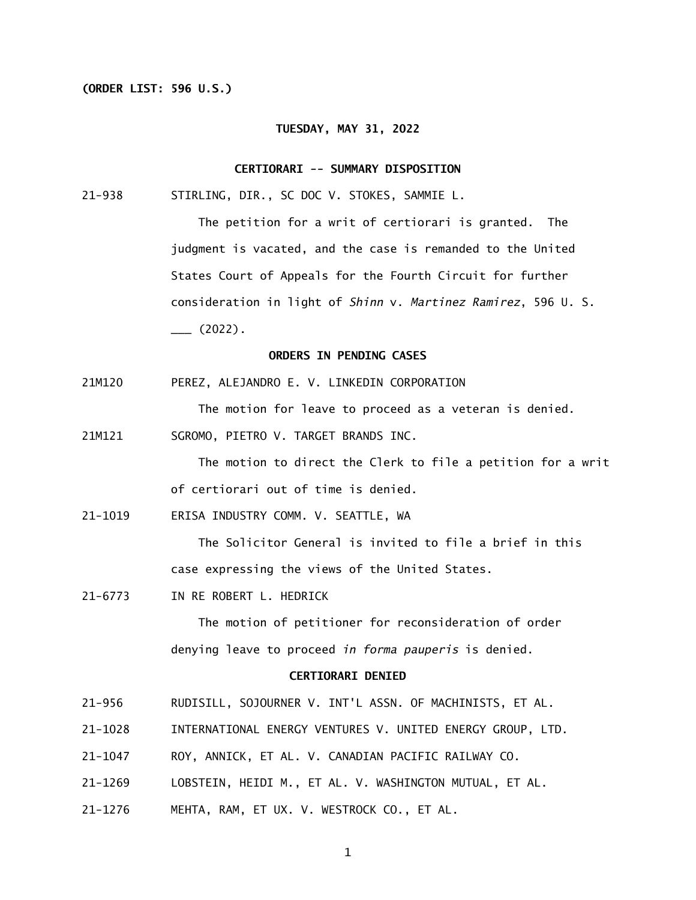## **(ORDER LIST: 596 U.S.)**

#### **TUESDAY, MAY 31, 2022**

### **CERTIORARI -- SUMMARY DISPOSITION**

 $21 - 938$ STIRLING, DIR., SC DOC V. STOKES, SAMMIE L.

> The petition for a writ of certiorari is granted. The judgment is vacated, and the case is remanded to the United States Court of Appeals for the Fourth Circuit for further consideration in light of *Shinn* v. *Martinez Ramirez*, 596 U. S.  $\frac{1}{2}$  (2022).

# **ORDERS IN PENDING CASES**

21M120 PEREZ, ALEJANDRO E. V. LINKEDIN CORPORATION

The motion for leave to proceed as a veteran is denied.

21M121 SGROMO, PIETRO V. TARGET BRANDS INC.

> The motion to direct the Clerk to file a petition for a writ of certiorari out of time is denied.

21-1019 ERISA INDUSTRY COMM. V. SEATTLE, WA

 The Solicitor General is invited to file a brief in this case expressing the views of the United States.

21-6773 IN RE ROBERT L. HEDRICK

 The motion of petitioner for reconsideration of order denying leave to proceed *in forma pauperis* is denied.

## **CERTIORARI DENIED**

- $21 956$ RUDISILL, SOJOURNER V. INT'L ASSN. OF MACHINISTS, ET AL.
- 21-1028 INTERNATIONAL ENERGY VENTURES V. UNITED ENERGY GROUP, LTD.
- 21-1047 ROY, ANNICK, ET AL. V. CANADIAN PACIFIC RAILWAY CO.
- 21-1269 LOBSTEIN, HEIDI M., ET AL. V. WASHINGTON MUTUAL, ET AL.
- 21-1276 MEHTA, RAM, ET UX. V. WESTROCK CO., ET AL.

1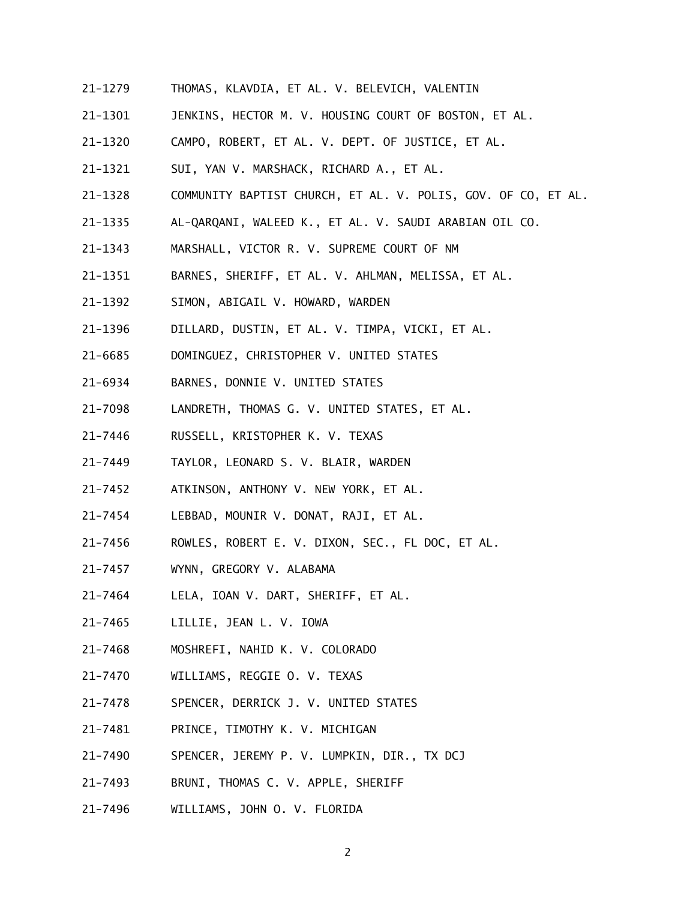- 21-1279 THOMAS, KLAVDIA, ET AL. V. BELEVICH, VALENTIN
- 21-1301 JENKINS, HECTOR M. V. HOUSING COURT OF BOSTON, ET AL.
- 21-1320 CAMPO, ROBERT, ET AL. V. DEPT. OF JUSTICE, ET AL.
- 21-1321 SUI, YAN V. MARSHACK, RICHARD A., ET AL.
- 21-1328 COMMUNITY BAPTIST CHURCH, ET AL. V. POLIS, GOV. OF CO, ET AL.
- 21-1335 AL-QARQANI, WALEED K., ET AL. V. SAUDI ARABIAN OIL CO.
- 21-1343 MARSHALL, VICTOR R. V. SUPREME COURT OF NM
- 21-1351 BARNES, SHERIFF, ET AL. V. AHLMAN, MELISSA, ET AL.
- 21-1392 SIMON, ABIGAIL V. HOWARD, WARDEN
- 21-1396 DILLARD, DUSTIN, ET AL. V. TIMPA, VICKI, ET AL.
- 21-6685 DOMINGUEZ, CHRISTOPHER V. UNITED STATES
- 21-6934 BARNES, DONNIE V. UNITED STATES
- 21-7098 LANDRETH, THOMAS G. V. UNITED STATES, ET AL.
- 21-7446 RUSSELL, KRISTOPHER K. V. TEXAS
- 21-7449 TAYLOR, LEONARD S. V. BLAIR, WARDEN
- 21-7452 ATKINSON, ANTHONY V. NEW YORK, ET AL.
- 21-7454 LEBBAD, MOUNIR V. DONAT, RAJI, ET AL.
- 21-7456 ROWLES, ROBERT E. V. DIXON, SEC., FL DOC, ET AL.
- 21-7457 WYNN, GREGORY V. ALABAMA
- 21-7464 LELA, IOAN V. DART, SHERIFF, ET AL.
- 21-7465 LILLIE, JEAN L. V. IOWA
- 21-7468 MOSHREFI, NAHID K. V. COLORADO
- 21-7470 WILLIAMS, REGGIE O. V. TEXAS
- 21-7478 SPENCER, DERRICK J. V. UNITED STATES
- 21-7481 PRINCE, TIMOTHY K. V. MICHIGAN
- 21-7490 SPENCER, JEREMY P. V. LUMPKIN, DIR., TX DCJ
- 21-7493 BRUNI, THOMAS C. V. APPLE, SHERIFF
- 21-7496 WILLIAMS, JOHN O. V. FLORIDA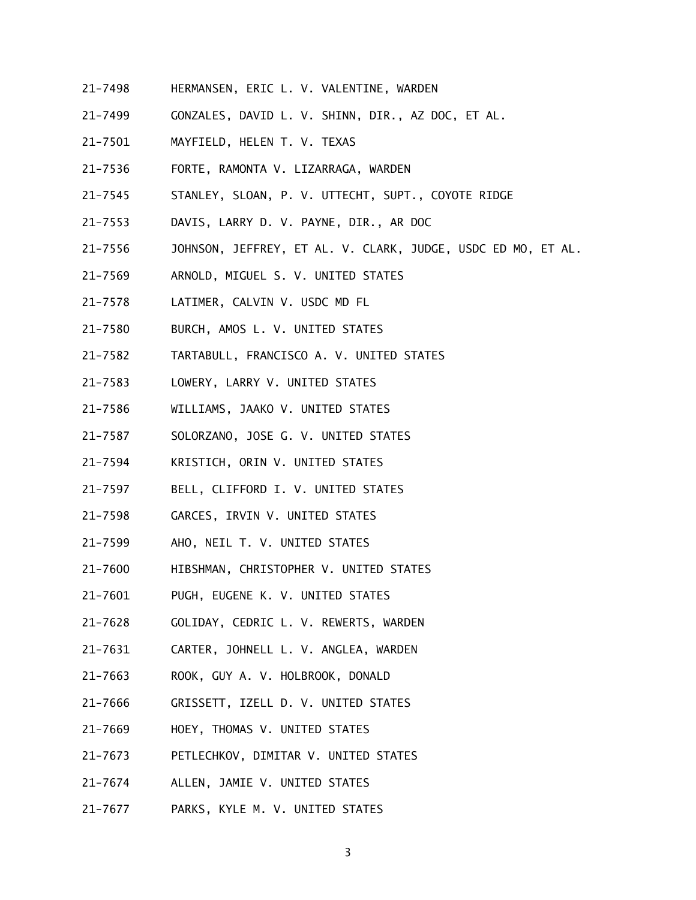- 21-7498 HERMANSEN, ERIC L. V. VALENTINE, WARDEN
- 21-7499 GONZALES, DAVID L. V. SHINN, DIR., AZ DOC, ET AL.
- 21-7501 MAYFIELD, HELEN T. V. TEXAS
- 21-7536 FORTE, RAMONTA V. LIZARRAGA, WARDEN
- 21-7545 STANLEY, SLOAN, P. V. UTTECHT, SUPT., COYOTE RIDGE
- $21 7553$ DAVIS, LARRY D. V. PAYNE, DIR., AR DOC
- 21-7556 JOHNSON, JEFFREY, ET AL. V. CLARK, JUDGE, USDC ED MO, ET AL.
- 21-7569 ARNOLD, MIGUEL S. V. UNITED STATES
- 21-7578 LATIMER, CALVIN V. USDC MD FL
- 21-7580 BURCH, AMOS L. V. UNITED STATES
- 21-7582 TARTABULL, FRANCISCO A. V. UNITED STATES
- 21-7583 LOWERY, LARRY V. UNITED STATES
- 21-7586 WILLIAMS, JAAKO V. UNITED STATES
- 21-7587 SOLORZANO, JOSE G. V. UNITED STATES
- 21-7594 KRISTICH, ORIN V. UNITED STATES
- 21-7597 BELL, CLIFFORD I. V. UNITED STATES
- 21-7598 GARCES, IRVIN V. UNITED STATES
- 21-7599 AHO, NEIL T. V. UNITED STATES
- 21-7600 HIBSHMAN, CHRISTOPHER V. UNITED STATES
- 21-7601 PUGH, EUGENE K. V. UNITED STATES
- 21-7628 GOLIDAY, CEDRIC L. V. REWERTS, WARDEN
- 21-7631 CARTER, JOHNELL L. V. ANGLEA, WARDEN
- 21-7663 ROOK, GUY A. V. HOLBROOK, DONALD
- 21-7666 GRISSETT, IZELL D. V. UNITED STATES
- 21-7669 HOEY, THOMAS V. UNITED STATES
- 21-7673 PETLECHKOV, DIMITAR V. UNITED STATES
- 21-7674 ALLEN, JAMIE V. UNITED STATES
- 21–7677 PARKS, KYLE M. V. UNITED STATES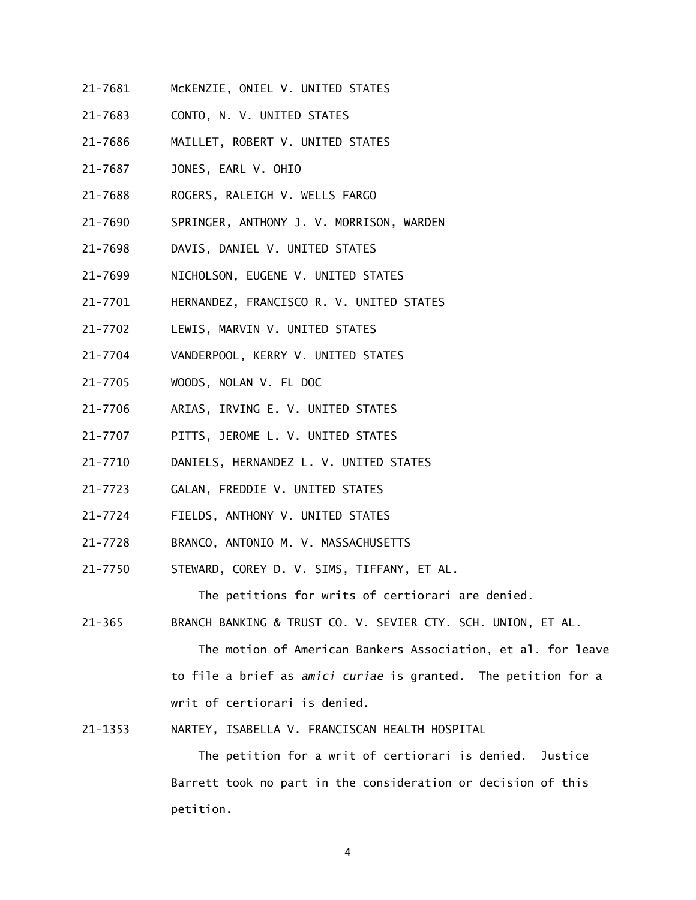- 21-7681 McKENZIE, ONIEL V. UNITED STATES
- 21-7683 CONTO, N. V. UNITED STATES
- 21-7686 MAILLET, ROBERT V. UNITED STATES
- 21-7687 JONES, EARL V. OHIO
- 21-7688 ROGERS, RALEIGH V. WELLS FARGO
- 21-7690 SPRINGER, ANTHONY J. V. MORRISON, WARDEN
- $21 7698$ DAVIS, DANIEL V. UNITED STATES
- 21-7699 NICHOLSON, EUGENE V. UNITED STATES
- 21-7701 HERNANDEZ, FRANCISCO R. V. UNITED STATES
- $21 7702$ LEWIS, MARVIN V. UNITED STATES
- 21-7704 VANDERPOOL, KERRY V. UNITED STATES
- 21-7705 WOODS, NOLAN V. FL DOC
- $21 7706$ ARIAS, IRVING E. V. UNITED STATES
- $21 7707$ PITTS, JEROME L. V. UNITED STATES
- 21-7710 DANIELS, HERNANDEZ L. V. UNITED STATES
- 21-7723 GALAN, FREDDIE V. UNITED STATES
- 21-7724 FIELDS, ANTHONY V. UNITED STATES
- 21-7728 BRANCO, ANTONIO M. V. MASSACHUSETTS
- 21-7750 STEWARD, COREY D. V. SIMS, TIFFANY, ET AL.

The petitions for writs of certiorari are denied.

 $21 - 365$ BRANCH BANKING & TRUST CO. V. SEVIER CTY. SCH. UNION, ET AL.

> The motion of American Bankers Association, et al. for leave to file a brief as *amici curiae* is granted. The petition for a writ of certiorari is denied.

21-1353 NARTEY, ISABELLA V. FRANCISCAN HEALTH HOSPITAL

 The petition for a writ of certiorari is denied. Justice Barrett took no part in the consideration or decision of this petition.

4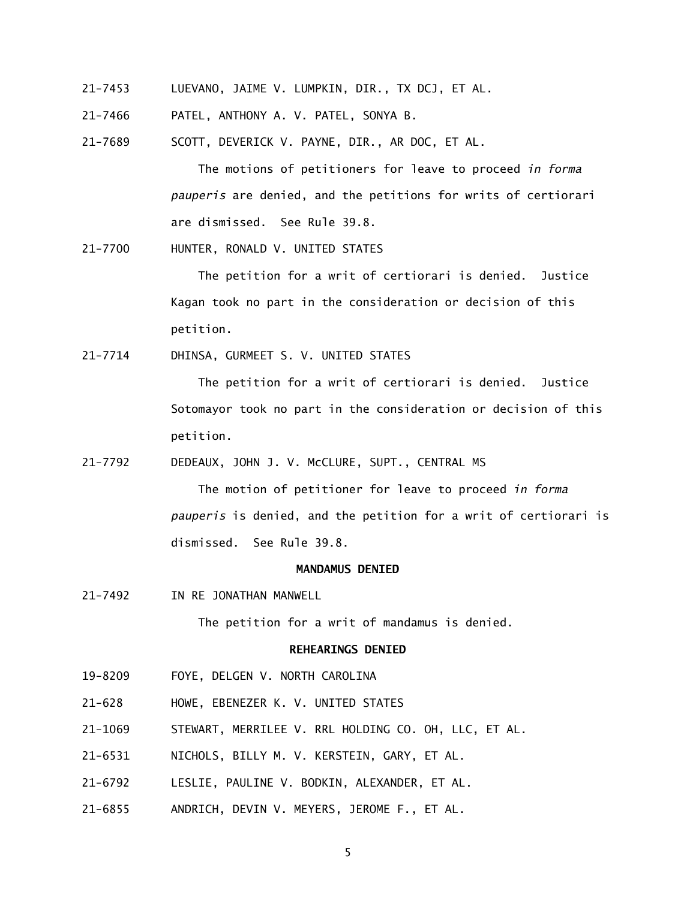- 21-7453 LUEVANO, JAIME V. LUMPKIN, DIR., TX DCJ, ET AL.
- 21-7466 PATEL, ANTHONY A. V. PATEL, SONYA B.
- 21-7689 SCOTT, DEVERICK V. PAYNE, DIR., AR DOC, ET AL.

 The motions of petitioners for leave to proceed *in forma pauperis* are denied, and the petitions for writs of certiorari are dismissed. See Rule 39.8.

21-7700 HUNTER, RONALD V. UNITED STATES

 The petition for a writ of certiorari is denied. Justice Kagan took no part in the consideration or decision of this petition.

21-7714 DHINSA, GURMEET S. V. UNITED STATES

 The petition for a writ of certiorari is denied. Justice Sotomayor took no part in the consideration or decision of this petition.

21-7792 DEDEAUX, JOHN J. V. McCLURE, SUPT., CENTRAL MS

 The motion of petitioner for leave to proceed *in forma pauperis* is denied, and the petition for a writ of certiorari is dismissed. See Rule 39.8.

# **MANDAMUS DENIED**

21-7492 IN RE JONATHAN MANWELL

The petition for a writ of mandamus is denied.

#### **REHEARINGS DENIED**

- 19-8209 FOYE, DELGEN V. NORTH CAROLINA
- $21 628$ 21-628 HOWE, EBENEZER K. V. UNITED STATES
- 21-1069 STEWART, MERRILEE V. RRL HOLDING CO. OH, LLC, ET AL.
- 21-6531 NICHOLS, BILLY M. V. KERSTEIN, GARY, ET AL.
- 21-6792 LESLIE, PAULINE V. BODKIN, ALEXANDER, ET AL.
- 21-6855 ANDRICH, DEVIN V. MEYERS, JEROME F., ET AL.

5